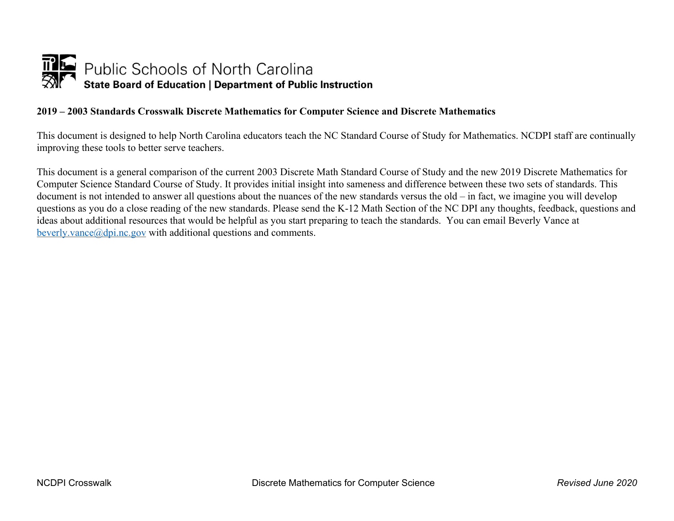

## **2019 – 2003 Standards Crosswalk Discrete Mathematics for Computer Science and Discrete Mathematics**

This document is designed to help North Carolina educators teach the NC Standard Course of Study for Mathematics. NCDPI staff are continually improving these tools to better serve teachers.

This document is a general comparison of the current 2003 Discrete Math Standard Course of Study and the new 2019 Discrete Mathematics for Computer Science Standard Course of Study. It provides initial insight into sameness and difference between these two sets of standards. This document is not intended to answer all questions about the nuances of the new standards versus the old – in fact, we imagine you will develop questions as you do a close reading of the new standards. Please send the K-12 Math Section of the NC DPI any thoughts, feedback, questions and ideas about additional resources that would be helpful as you start preparing to teach the standards. You can email Beverly Vance at beverly.vance $(a)$ dpi.nc.gov with additional questions and comments.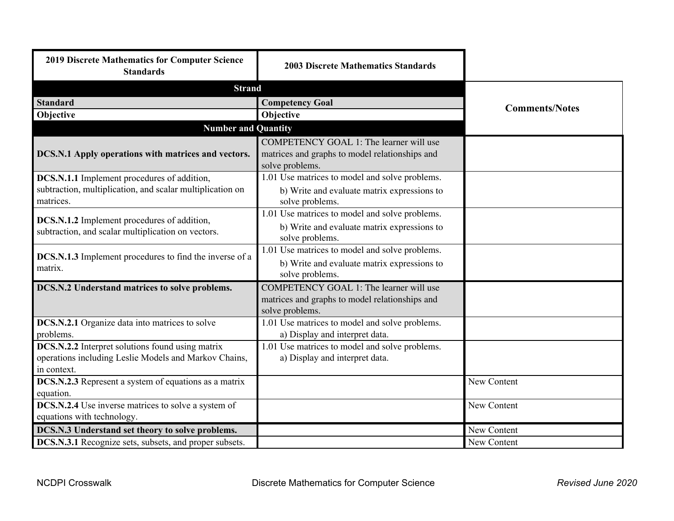| 2019 Discrete Mathematics for Computer Science<br><b>Standards</b>                                                       | <b>2003 Discrete Mathematics Standards</b>                                                                       |                       |
|--------------------------------------------------------------------------------------------------------------------------|------------------------------------------------------------------------------------------------------------------|-----------------------|
| <b>Strand</b>                                                                                                            |                                                                                                                  |                       |
| <b>Standard</b>                                                                                                          | <b>Competency Goal</b>                                                                                           | <b>Comments/Notes</b> |
| Objective                                                                                                                | Objective                                                                                                        |                       |
| <b>Number and Quantity</b>                                                                                               |                                                                                                                  |                       |
| DCS.N.1 Apply operations with matrices and vectors.                                                                      | COMPETENCY GOAL 1: The learner will use<br>matrices and graphs to model relationships and<br>solve problems.     |                       |
| DCS.N.1.1 Implement procedures of addition,<br>subtraction, multiplication, and scalar multiplication on<br>matrices.    | 1.01 Use matrices to model and solve problems.<br>b) Write and evaluate matrix expressions to<br>solve problems. |                       |
| DCS.N.1.2 Implement procedures of addition,<br>subtraction, and scalar multiplication on vectors.                        | 1.01 Use matrices to model and solve problems.<br>b) Write and evaluate matrix expressions to<br>solve problems. |                       |
| DCS.N.1.3 Implement procedures to find the inverse of a<br>matrix.                                                       | 1.01 Use matrices to model and solve problems.<br>b) Write and evaluate matrix expressions to<br>solve problems. |                       |
| DCS.N.2 Understand matrices to solve problems.                                                                           | COMPETENCY GOAL 1: The learner will use<br>matrices and graphs to model relationships and<br>solve problems.     |                       |
| DCS.N.2.1 Organize data into matrices to solve<br>problems.                                                              | 1.01 Use matrices to model and solve problems.<br>a) Display and interpret data.                                 |                       |
| DCS.N.2.2 Interpret solutions found using matrix<br>operations including Leslie Models and Markov Chains,<br>in context. | 1.01 Use matrices to model and solve problems.<br>a) Display and interpret data.                                 |                       |
| <b>DCS.N.2.3</b> Represent a system of equations as a matrix<br>equation.                                                |                                                                                                                  | New Content           |
| DCS.N.2.4 Use inverse matrices to solve a system of<br>equations with technology.                                        |                                                                                                                  | New Content           |
| DCS.N.3 Understand set theory to solve problems.                                                                         |                                                                                                                  | New Content           |
| DCS.N.3.1 Recognize sets, subsets, and proper subsets.                                                                   |                                                                                                                  | New Content           |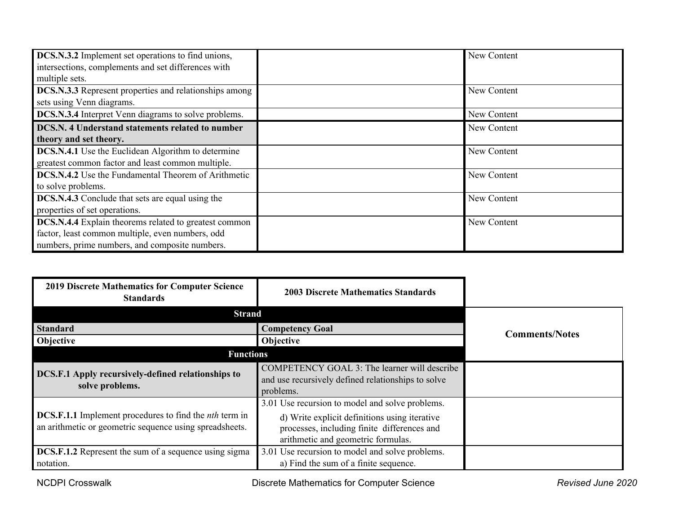| <b>DCS.N.3.2</b> Implement set operations to find unions,     | New Content |
|---------------------------------------------------------------|-------------|
| intersections, complements and set differences with           |             |
| multiple sets.                                                |             |
| <b>DCS.N.3.3</b> Represent properties and relationships among | New Content |
| sets using Venn diagrams.                                     |             |
| <b>DCS.N.3.4</b> Interpret Venn diagrams to solve problems.   | New Content |
| DCS.N. 4 Understand statements related to number              | New Content |
| theory and set theory.                                        |             |
| <b>DCS.N.4.1</b> Use the Euclidean Algorithm to determine     | New Content |
| greatest common factor and least common multiple.             |             |
| DCS.N.4.2 Use the Fundamental Theorem of Arithmetic           | New Content |
| to solve problems.                                            |             |
| <b>DCS.N.4.3</b> Conclude that sets are equal using the       | New Content |
| properties of set operations.                                 |             |
| DCS.N.4.4 Explain theorems related to greatest common         | New Content |
| factor, least common multiple, even numbers, odd              |             |
| numbers, prime numbers, and composite numbers.                |             |

| <b>2019 Discrete Mathematics for Computer Science</b><br><b>Standards</b>                                                       | <b>2003 Discrete Mathematics Standards</b>                                                                                                                                            |                       |
|---------------------------------------------------------------------------------------------------------------------------------|---------------------------------------------------------------------------------------------------------------------------------------------------------------------------------------|-----------------------|
| <b>Strand</b>                                                                                                                   |                                                                                                                                                                                       |                       |
| <b>Standard</b>                                                                                                                 | <b>Competency Goal</b>                                                                                                                                                                | <b>Comments/Notes</b> |
| Objective                                                                                                                       | Objective                                                                                                                                                                             |                       |
| <b>Functions</b>                                                                                                                |                                                                                                                                                                                       |                       |
| DCS.F.1 Apply recursively-defined relationships to<br>solve problems.                                                           | COMPETENCY GOAL 3: The learner will describe<br>and use recursively defined relationships to solve<br>problems.                                                                       |                       |
| <b>DCS.F.1.1</b> Implement procedures to find the <i>nth</i> term in<br>an arithmetic or geometric sequence using spreadsheets. | 3.01 Use recursion to model and solve problems.<br>d) Write explicit definitions using iterative<br>processes, including finite differences and<br>arithmetic and geometric formulas. |                       |
| DCS.F.1.2 Represent the sum of a sequence using sigma<br>notation.                                                              | 3.01 Use recursion to model and solve problems.<br>a) Find the sum of a finite sequence.                                                                                              |                       |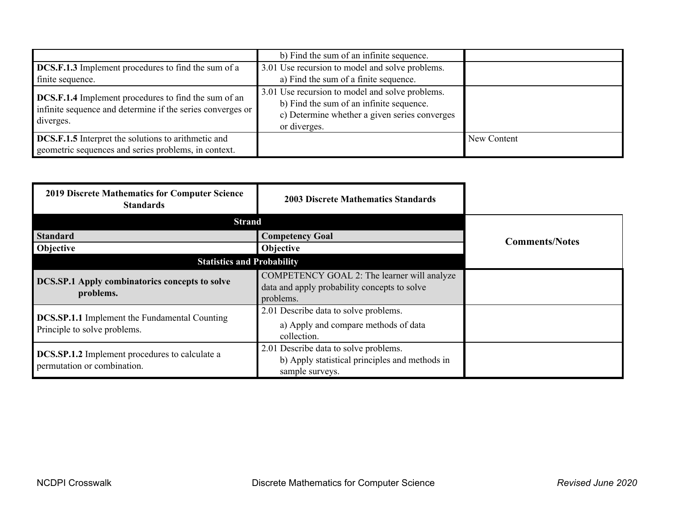|                                                                                                                                        | b) Find the sum of an infinite sequence.                                                                                                                     |             |
|----------------------------------------------------------------------------------------------------------------------------------------|--------------------------------------------------------------------------------------------------------------------------------------------------------------|-------------|
| <b>DCS.F.1.3</b> Implement procedures to find the sum of a                                                                             | 3.01 Use recursion to model and solve problems.                                                                                                              |             |
| finite sequence.                                                                                                                       | a) Find the sum of a finite sequence.                                                                                                                        |             |
| <b>DCS.F.1.4</b> Implement procedures to find the sum of an<br>infinite sequence and determine if the series converges or<br>diverges. | 3.01 Use recursion to model and solve problems.<br>b) Find the sum of an infinite sequence.<br>c) Determine whether a given series converges<br>or diverges. |             |
| <b>DCS.F.1.5</b> Interpret the solutions to arithmetic and                                                                             |                                                                                                                                                              | New Content |
| geometric sequences and series problems, in context.                                                                                   |                                                                                                                                                              |             |

| <b>2019 Discrete Mathematics for Computer Science</b><br><b>Standards</b>            | <b>2003 Discrete Mathematics Standards</b>                                                                 |                       |
|--------------------------------------------------------------------------------------|------------------------------------------------------------------------------------------------------------|-----------------------|
| <b>Strand</b>                                                                        |                                                                                                            |                       |
| <b>Standard</b>                                                                      | <b>Competency Goal</b>                                                                                     | <b>Comments/Notes</b> |
| Objective                                                                            | Objective                                                                                                  |                       |
| <b>Statistics and Probability</b>                                                    |                                                                                                            |                       |
| <b>DCS.SP.1 Apply combinatorics concepts to solve</b><br>problems.                   | COMPETENCY GOAL 2: The learner will analyze<br>data and apply probability concepts to solve<br>problems.   |                       |
| <b>DCS.SP.1.1</b> Implement the Fundamental Counting<br>Principle to solve problems. | 2.01 Describe data to solve problems.<br>a) Apply and compare methods of data<br>collection.               |                       |
| <b>DCS.SP.1.2</b> Implement procedures to calculate a<br>permutation or combination. | 2.01 Describe data to solve problems.<br>b) Apply statistical principles and methods in<br>sample surveys. |                       |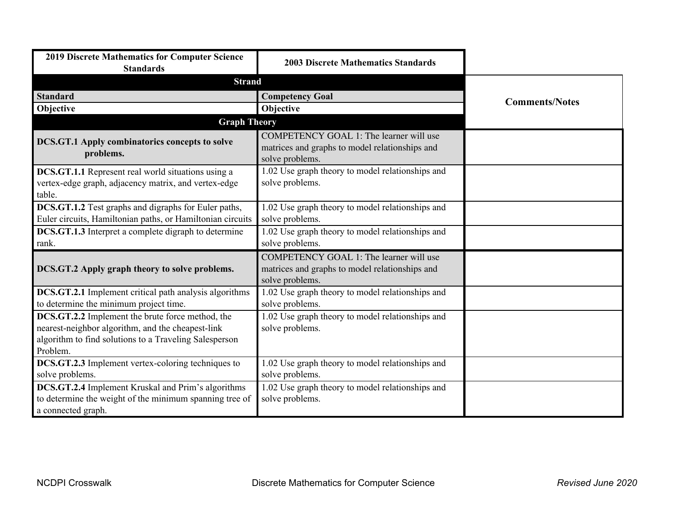| <b>2019 Discrete Mathematics for Computer Science</b><br><b>Standards</b>                                                                                                   | <b>2003 Discrete Mathematics Standards</b>                                                                   |                       |
|-----------------------------------------------------------------------------------------------------------------------------------------------------------------------------|--------------------------------------------------------------------------------------------------------------|-----------------------|
| <b>Strand</b>                                                                                                                                                               |                                                                                                              |                       |
| <b>Standard</b>                                                                                                                                                             | <b>Competency Goal</b>                                                                                       | <b>Comments/Notes</b> |
| Objective                                                                                                                                                                   | Objective                                                                                                    |                       |
| <b>Graph Theory</b>                                                                                                                                                         |                                                                                                              |                       |
| <b>DCS.GT.1 Apply combinatorics concepts to solve</b><br>problems.                                                                                                          | COMPETENCY GOAL 1: The learner will use<br>matrices and graphs to model relationships and<br>solve problems. |                       |
| <b>DCS.GT.1.1</b> Represent real world situations using a<br>vertex-edge graph, adjacency matrix, and vertex-edge<br>table.                                                 | 1.02 Use graph theory to model relationships and<br>solve problems.                                          |                       |
| DCS.GT.1.2 Test graphs and digraphs for Euler paths,<br>Euler circuits, Hamiltonian paths, or Hamiltonian circuits                                                          | 1.02 Use graph theory to model relationships and<br>solve problems.                                          |                       |
| <b>DCS.GT.1.3</b> Interpret a complete digraph to determine<br>rank.                                                                                                        | 1.02 Use graph theory to model relationships and<br>solve problems.                                          |                       |
| DCS.GT.2 Apply graph theory to solve problems.                                                                                                                              | COMPETENCY GOAL 1: The learner will use<br>matrices and graphs to model relationships and<br>solve problems. |                       |
| DCS.GT.2.1 Implement critical path analysis algorithms<br>to determine the minimum project time.                                                                            | 1.02 Use graph theory to model relationships and<br>solve problems.                                          |                       |
| DCS.GT.2.2 Implement the brute force method, the<br>nearest-neighbor algorithm, and the cheapest-link<br>algorithm to find solutions to a Traveling Salesperson<br>Problem. | 1.02 Use graph theory to model relationships and<br>solve problems.                                          |                       |
| DCS.GT.2.3 Implement vertex-coloring techniques to<br>solve problems.                                                                                                       | 1.02 Use graph theory to model relationships and<br>solve problems.                                          |                       |
| <b>DCS.GT.2.4</b> Implement Kruskal and Prim's algorithms<br>to determine the weight of the minimum spanning tree of<br>a connected graph.                                  | 1.02 Use graph theory to model relationships and<br>solve problems.                                          |                       |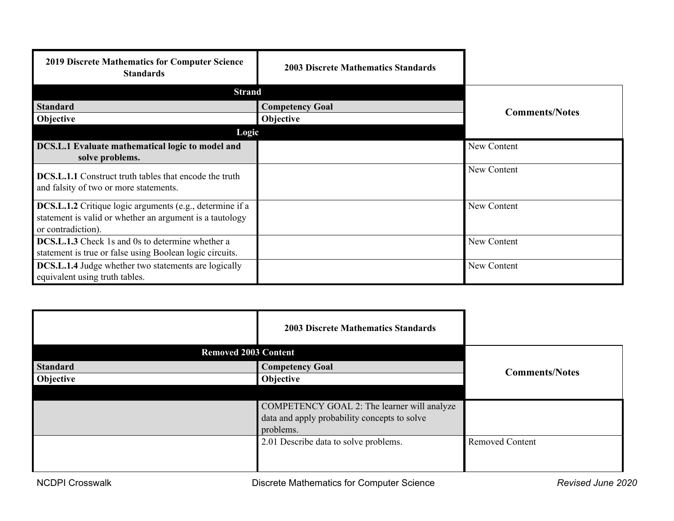| <b>2019 Discrete Mathematics for Computer Science</b><br><b>Standards</b>                                                                         | <b>2003 Discrete Mathematics Standards</b> |                       |
|---------------------------------------------------------------------------------------------------------------------------------------------------|--------------------------------------------|-----------------------|
| <b>Strand</b>                                                                                                                                     |                                            |                       |
| <b>Standard</b>                                                                                                                                   | <b>Competency Goal</b>                     | <b>Comments/Notes</b> |
| Objective                                                                                                                                         | <b>Objective</b>                           |                       |
| Logic                                                                                                                                             |                                            |                       |
| DCS.L.1 Evaluate mathematical logic to model and<br>solve problems.                                                                               |                                            | New Content           |
| <b>DCS.L.1.1</b> Construct truth tables that encode the truth<br>and falsity of two or more statements.                                           |                                            | New Content           |
| <b>DCS.L.1.2</b> Critique logic arguments (e.g., determine if a<br>statement is valid or whether an argument is a tautology<br>or contradiction). |                                            | New Content           |
| <b>DCS.L.1.3</b> Check 1s and 0s to determine whether a<br>statement is true or false using Boolean logic circuits.                               |                                            | New Content           |
| DCS.L.1.4 Judge whether two statements are logically<br>equivalent using truth tables.                                                            |                                            | New Content           |

|                 | <b>2003 Discrete Mathematics Standards</b>   |                        |
|-----------------|----------------------------------------------|------------------------|
|                 | <b>Removed 2003 Content</b>                  |                        |
| <b>Standard</b> | <b>Competency Goal</b>                       | <b>Comments/Notes</b>  |
| Objective       | Objective                                    |                        |
|                 |                                              |                        |
|                 | COMPETENCY GOAL 2: The learner will analyze  |                        |
|                 | data and apply probability concepts to solve |                        |
|                 | problems.                                    |                        |
|                 | 2.01 Describe data to solve problems.        | <b>Removed Content</b> |
|                 |                                              |                        |
|                 |                                              |                        |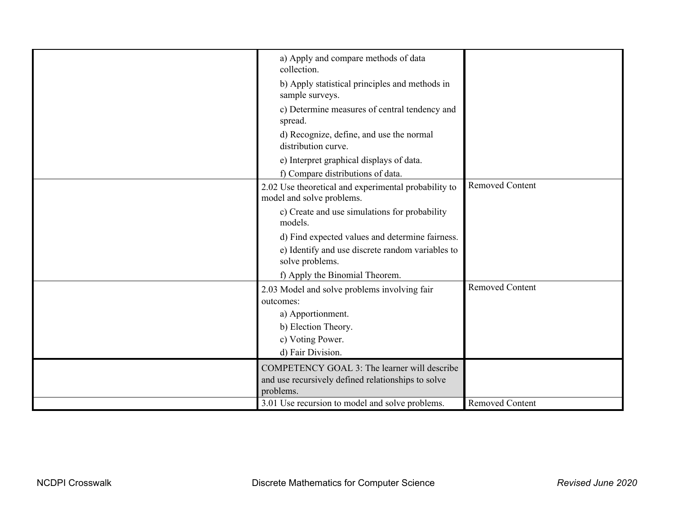| a) Apply and compare methods of data<br>collection.                                                 |                        |
|-----------------------------------------------------------------------------------------------------|------------------------|
| b) Apply statistical principles and methods in<br>sample surveys.                                   |                        |
| c) Determine measures of central tendency and<br>spread.                                            |                        |
| d) Recognize, define, and use the normal<br>distribution curve.                                     |                        |
| e) Interpret graphical displays of data.<br>f) Compare distributions of data.                       |                        |
| 2.02 Use theoretical and experimental probability to<br>model and solve problems.                   | <b>Removed Content</b> |
| c) Create and use simulations for probability<br>models.                                            |                        |
| d) Find expected values and determine fairness.<br>e) Identify and use discrete random variables to |                        |
| solve problems.                                                                                     |                        |
| f) Apply the Binomial Theorem.                                                                      |                        |
| 2.03 Model and solve problems involving fair<br>outcomes:                                           | <b>Removed Content</b> |
| a) Apportionment.                                                                                   |                        |
| b) Election Theory.                                                                                 |                        |
| c) Voting Power.                                                                                    |                        |
| d) Fair Division.                                                                                   |                        |
| COMPETENCY GOAL 3: The learner will describe                                                        |                        |
| and use recursively defined relationships to solve                                                  |                        |
| problems.                                                                                           |                        |
| 3.01 Use recursion to model and solve problems.                                                     | <b>Removed Content</b> |